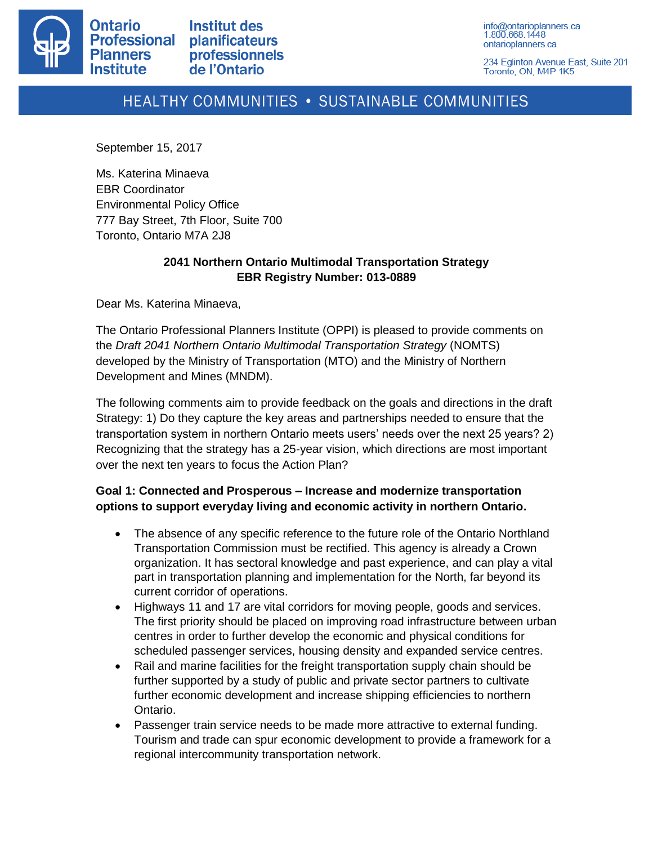

info@ontarioplanners.ca 1.800.668.1448 ontarioplanners.ca

234 Eglinton Avenue East, Suite 201 Toronto, ON, M4P 1K5

# HEALTHY COMMUNITIES . SUSTAINABLE COMMUNITIES

September 15, 2017

Ms. Katerina Minaeva EBR Coordinator Environmental Policy Office 777 Bay Street, 7th Floor, Suite 700 Toronto, Ontario M7A 2J8

#### **2041 Northern Ontario Multimodal Transportation Strategy EBR Registry Number: 013-0889**

Dear Ms. Katerina Minaeva,

The Ontario Professional Planners Institute (OPPI) is pleased to provide comments on the *Draft 2041 Northern Ontario Multimodal Transportation Strategy* (NOMTS) developed by the Ministry of Transportation (MTO) and the Ministry of Northern Development and Mines (MNDM).

The following comments aim to provide feedback on the goals and directions in the draft Strategy: 1) Do they capture the key areas and partnerships needed to ensure that the transportation system in northern Ontario meets users' needs over the next 25 years? 2) Recognizing that the strategy has a 25-year vision, which directions are most important over the next ten years to focus the Action Plan?

#### **Goal 1: Connected and Prosperous – Increase and modernize transportation options to support everyday living and economic activity in northern Ontario.**

- The absence of any specific reference to the future role of the Ontario Northland Transportation Commission must be rectified. This agency is already a Crown organization. It has sectoral knowledge and past experience, and can play a vital part in transportation planning and implementation for the North, far beyond its current corridor of operations.
- Highways 11 and 17 are vital corridors for moving people, goods and services. The first priority should be placed on improving road infrastructure between urban centres in order to further develop the economic and physical conditions for scheduled passenger services, housing density and expanded service centres.
- Rail and marine facilities for the freight transportation supply chain should be further supported by a study of public and private sector partners to cultivate further economic development and increase shipping efficiencies to northern Ontario.
- Passenger train service needs to be made more attractive to external funding. Tourism and trade can spur economic development to provide a framework for a regional intercommunity transportation network.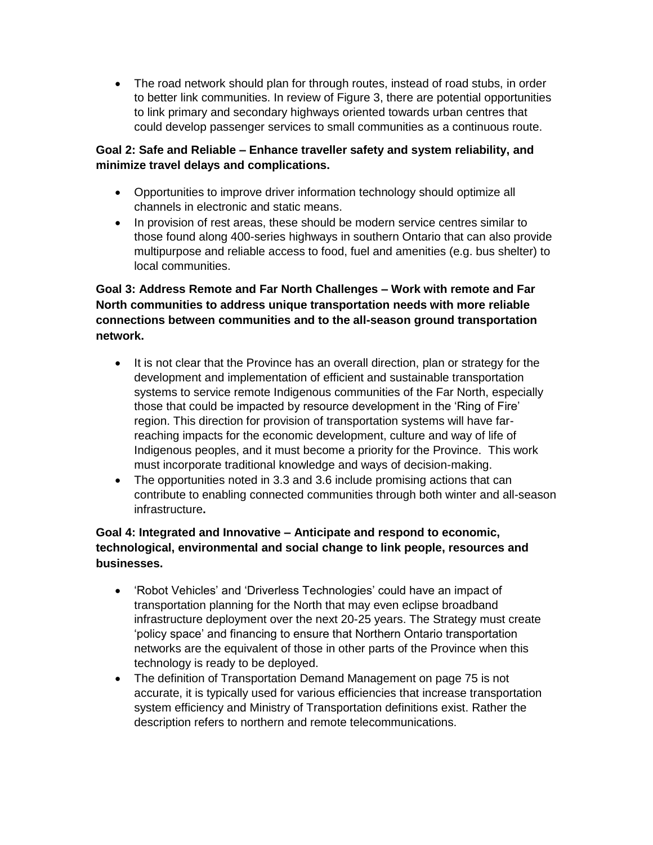• The road network should plan for through routes, instead of road stubs, in order to better link communities. In review of Figure 3, there are potential opportunities to link primary and secondary highways oriented towards urban centres that could develop passenger services to small communities as a continuous route.

#### **Goal 2: Safe and Reliable – Enhance traveller safety and system reliability, and minimize travel delays and complications.**

- Opportunities to improve driver information technology should optimize all channels in electronic and static means.
- In provision of rest areas, these should be modern service centres similar to those found along 400-series highways in southern Ontario that can also provide multipurpose and reliable access to food, fuel and amenities (e.g. bus shelter) to local communities.

## **Goal 3: Address Remote and Far North Challenges – Work with remote and Far North communities to address unique transportation needs with more reliable connections between communities and to the all-season ground transportation network.**

- It is not clear that the Province has an overall direction, plan or strategy for the development and implementation of efficient and sustainable transportation systems to service remote Indigenous communities of the Far North, especially those that could be impacted by resource development in the 'Ring of Fire' region. This direction for provision of transportation systems will have farreaching impacts for the economic development, culture and way of life of Indigenous peoples, and it must become a priority for the Province. This work must incorporate traditional knowledge and ways of decision-making.
- The opportunities noted in 3.3 and 3.6 include promising actions that can contribute to enabling connected communities through both winter and all-season infrastructure**.**

### **Goal 4: Integrated and Innovative – Anticipate and respond to economic, technological, environmental and social change to link people, resources and businesses.**

- 'Robot Vehicles' and 'Driverless Technologies' could have an impact of transportation planning for the North that may even eclipse broadband infrastructure deployment over the next 20-25 years. The Strategy must create 'policy space' and financing to ensure that Northern Ontario transportation networks are the equivalent of those in other parts of the Province when this technology is ready to be deployed.
- The definition of Transportation Demand Management on page 75 is not accurate, it is typically used for various efficiencies that increase transportation system efficiency and Ministry of Transportation definitions exist. Rather the description refers to northern and remote telecommunications.